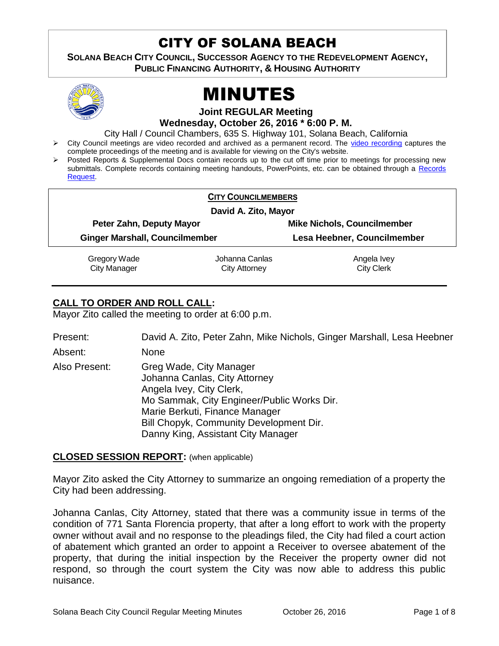# CITY OF SOLANA BEACH

**SOLANA BEACH CITY COUNCIL, SUCCESSOR AGENCY TO THE REDEVELOPMENT AGENCY, PUBLIC FINANCING AUTHORITY, & HOUSING AUTHORITY** 



# MINUTES

**Joint REGULAR Meeting**

**Wednesday, October 26, 2016 \* 6:00 P. M.**

City Hall / Council Chambers, 635 S. Highway 101, Solana Beach, California

- > City Council meetings are video recorded and archived as a permanent record. The [video recording](https://solanabeach.12milesout.com/video/meeting/d7f3927a-1c05-497f-a0bb-bfdd553340e3) captures the complete proceedings of the meeting and is available for viewing on the City's website.
- Posted Reports & Supplemental Docs contain records up to the cut off time prior to meetings for processing new submittals. Complete records containing meeting handouts, PowerPoints, etc. can be obtained through a [Records](http://www.ci.solana-beach.ca.us/index.asp?SEC=F5D45D10-70CE-4291-A27C-7BD633FC6742&Type=B_BASIC)  [Request.](http://www.ci.solana-beach.ca.us/index.asp?SEC=F5D45D10-70CE-4291-A27C-7BD633FC6742&Type=B_BASIC)

|                                       | <b>CITY COUNCILMEMBERS</b> |                                    |  |
|---------------------------------------|----------------------------|------------------------------------|--|
| David A. Zito, Mayor                  |                            |                                    |  |
| Peter Zahn, Deputy Mayor              |                            | <b>Mike Nichols, Councilmember</b> |  |
| <b>Ginger Marshall, Councilmember</b> |                            | Lesa Heebner, Councilmember        |  |
| Gregory Wade                          | Johanna Canlas             | Angela Ivey                        |  |
| <b>City Manager</b>                   | <b>City Attorney</b>       | <b>City Clerk</b>                  |  |

# **CALL TO ORDER AND ROLL CALL:**

Mayor Zito called the meeting to order at 6:00 p.m.

| Present:      | David A. Zito, Peter Zahn, Mike Nichols, Ginger Marshall, Lesa Heebner                                                                                                                                                                                |
|---------------|-------------------------------------------------------------------------------------------------------------------------------------------------------------------------------------------------------------------------------------------------------|
| Absent:       | <b>None</b>                                                                                                                                                                                                                                           |
| Also Present: | Greg Wade, City Manager<br>Johanna Canlas, City Attorney<br>Angela Ivey, City Clerk,<br>Mo Sammak, City Engineer/Public Works Dir.<br>Marie Berkuti, Finance Manager<br>Bill Chopyk, Community Development Dir.<br>Danny King, Assistant City Manager |

# **CLOSED SESSION REPORT:** (when applicable)

Mayor Zito asked the City Attorney to summarize an ongoing remediation of a property the City had been addressing.

Johanna Canlas, City Attorney, stated that there was a community issue in terms of the condition of 771 Santa Florencia property, that after a long effort to work with the property owner without avail and no response to the pleadings filed, the City had filed a court action of abatement which granted an order to appoint a Receiver to oversee abatement of the property, that during the initial inspection by the Receiver the property owner did not respond, so through the court system the City was now able to address this public nuisance.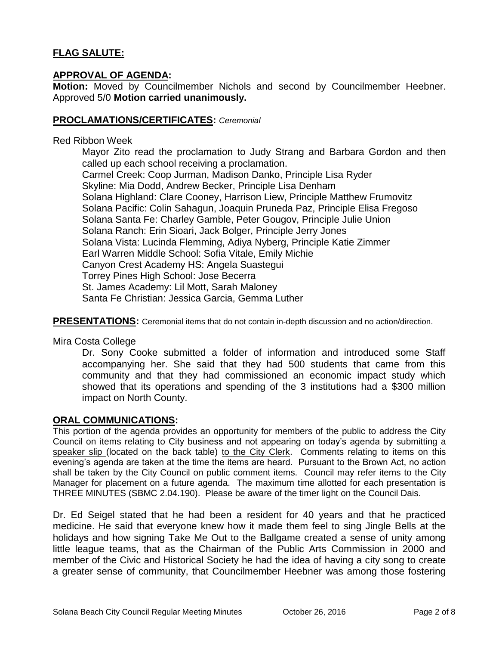# **FLAG SALUTE:**

# **APPROVAL OF AGENDA:**

**Motion:** Moved by Councilmember Nichols and second by Councilmember Heebner. Approved 5/0 **Motion carried unanimously.**

### **PROCLAMATIONS/CERTIFICATES:** *Ceremonial*

#### Red Ribbon Week

Mayor Zito read the proclamation to Judy Strang and Barbara Gordon and then called up each school receiving a proclamation. Carmel Creek: Coop Jurman, Madison Danko, Principle Lisa Ryder Skyline: Mia Dodd, Andrew Becker, Principle Lisa Denham Solana Highland: Clare Cooney, Harrison Liew, Principle Matthew Frumovitz Solana Pacific: Colin Sahagun, Joaquin Pruneda Paz, Principle Elisa Fregoso Solana Santa Fe: Charley Gamble, Peter Gougov, Principle Julie Union Solana Ranch: Erin Sioari, Jack Bolger, Principle Jerry Jones Solana Vista: Lucinda Flemming, Adiya Nyberg, Principle Katie Zimmer Earl Warren Middle School: Sofia Vitale, Emily Michie Canyon Crest Academy HS: Angela Suastegui Torrey Pines High School: Jose Becerra St. James Academy: Lil Mott, Sarah Maloney Santa Fe Christian: Jessica Garcia, Gemma Luther

**PRESENTATIONS:** Ceremonial items that do not contain in-depth discussion and no action/direction.

Mira Costa College

Dr. Sony Cooke submitted a folder of information and introduced some Staff accompanying her. She said that they had 500 students that came from this community and that they had commissioned an economic impact study which showed that its operations and spending of the 3 institutions had a \$300 million impact on North County.

#### **ORAL COMMUNICATIONS:**

This portion of the agenda provides an opportunity for members of the public to address the City Council on items relating to City business and not appearing on today's agenda by submitting a speaker slip (located on the back table) to the City Clerk. Comments relating to items on this evening's agenda are taken at the time the items are heard. Pursuant to the Brown Act, no action shall be taken by the City Council on public comment items. Council may refer items to the City Manager for placement on a future agenda. The maximum time allotted for each presentation is THREE MINUTES (SBMC 2.04.190). Please be aware of the timer light on the Council Dais.

Dr. Ed Seigel stated that he had been a resident for 40 years and that he practiced medicine. He said that everyone knew how it made them feel to sing Jingle Bells at the holidays and how signing Take Me Out to the Ballgame created a sense of unity among little league teams, that as the Chairman of the Public Arts Commission in 2000 and member of the Civic and Historical Society he had the idea of having a city song to create a greater sense of community, that Councilmember Heebner was among those fostering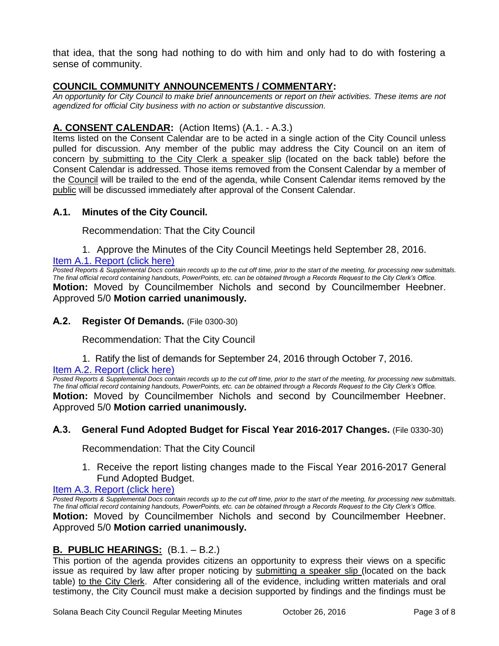that idea, that the song had nothing to do with him and only had to do with fostering a sense of community.

# **COUNCIL COMMUNITY ANNOUNCEMENTS / COMMENTARY:**

*An opportunity for City Council to make brief announcements or report on their activities. These items are not agendized for official City business with no action or substantive discussion.* 

# **A. CONSENT CALENDAR:** (Action Items) (A.1. - A.3.)

Items listed on the Consent Calendar are to be acted in a single action of the City Council unless pulled for discussion. Any member of the public may address the City Council on an item of concern by submitting to the City Clerk a speaker slip (located on the back table) before the Consent Calendar is addressed. Those items removed from the Consent Calendar by a member of the Council will be trailed to the end of the agenda, while Consent Calendar items removed by the public will be discussed immediately after approval of the Consent Calendar.

# **A.1. Minutes of the City Council.**

Recommendation: That the City Council

1. Approve the Minutes of the City Council Meetings held September 28, 2016.

#### [Item A.1. Report \(click here\)](https://solanabeach.govoffice3.com/vertical/Sites/%7B840804C2-F869-4904-9AE3-720581350CE7%7D/uploads/Item_A.1._Report_(click_here)_-10-26-16.PDF)

*Posted Reports & Supplemental Docs contain records up to the cut off time, prior to the start of the meeting, for processing new submittals. The final official record containing handouts, PowerPoints, etc. can be obtained through a Records Request to the City Clerk's Office.* **Motion:** Moved by Councilmember Nichols and second by Councilmember Heebner. Approved 5/0 **Motion carried unanimously.**

#### **A.2. Register Of Demands.** (File 0300-30)

Recommendation: That the City Council

1. Ratify the list of demands for September 24, 2016 through October 7, 2016.

#### [Item A.2. Report \(click here\)](https://solanabeach.govoffice3.com/vertical/Sites/%7B840804C2-F869-4904-9AE3-720581350CE7%7D/uploads/Item_A.2._Report_(click_here)_-10-26-16.PDF)

*Posted Reports & Supplemental Docs contain records up to the cut off time, prior to the start of the meeting, for processing new submittals. The final official record containing handouts, PowerPoints, etc. can be obtained through a Records Request to the City Clerk's Office.* **Motion:** Moved by Councilmember Nichols and second by Councilmember Heebner. Approved 5/0 **Motion carried unanimously.**

#### **A.3. General Fund Adopted Budget for Fiscal Year 2016-2017 Changes.** (File 0330-30)

Recommendation: That the City Council

1. Receive the report listing changes made to the Fiscal Year 2016-2017 General Fund Adopted Budget.

#### [Item A.3. Report \(click here\)](https://solanabeach.govoffice3.com/vertical/Sites/%7B840804C2-F869-4904-9AE3-720581350CE7%7D/uploads/Item_A.3._Report_(click_here)_-10-26-16.PDF)

*Posted Reports & Supplemental Docs contain records up to the cut off time, prior to the start of the meeting, for processing new submittals. The final official record containing handouts, PowerPoints, etc. can be obtained through a Records Request to the City Clerk's Office.* **Motion:** Moved by Councilmember Nichols and second by Councilmember Heebner. Approved 5/0 **Motion carried unanimously.**

# **B. PUBLIC HEARINGS:** (B.1. – B.2.)

This portion of the agenda provides citizens an opportunity to express their views on a specific issue as required by law after proper noticing by submitting a speaker slip (located on the back table) to the City Clerk. After considering all of the evidence, including written materials and oral testimony, the City Council must make a decision supported by findings and the findings must be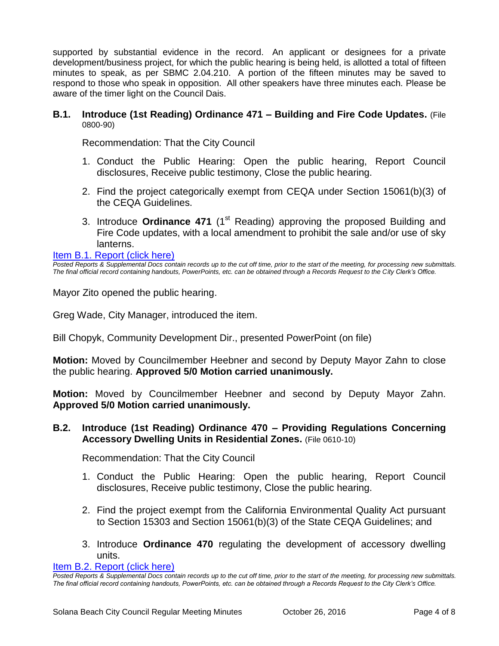supported by substantial evidence in the record. An applicant or designees for a private development/business project, for which the public hearing is being held, is allotted a total of fifteen minutes to speak, as per SBMC 2.04.210. A portion of the fifteen minutes may be saved to respond to those who speak in opposition. All other speakers have three minutes each. Please be aware of the timer light on the Council Dais.

#### **B.1. Introduce (1st Reading) Ordinance 471 – Building and Fire Code Updates.** (File 0800-90)

Recommendation: That the City Council

- 1. Conduct the Public Hearing: Open the public hearing, Report Council disclosures, Receive public testimony, Close the public hearing.
- 2. Find the project categorically exempt from CEQA under Section 15061(b)(3) of the CEQA Guidelines.
- 3. Introduce **Ordinance 471** (1<sup>st</sup> Reading) approving the proposed Building and Fire Code updates, with a local amendment to prohibit the sale and/or use of sky lanterns.

[Item B.1. Report \(click here\)](https://solanabeach.govoffice3.com/vertical/Sites/%7B840804C2-F869-4904-9AE3-720581350CE7%7D/uploads/Item_B.1._Report_(click_here)_-10-26-16.PDF)

*Posted Reports & Supplemental Docs contain records up to the cut off time, prior to the start of the meeting, for processing new submittals. The final official record containing handouts, PowerPoints, etc. can be obtained through a Records Request to the City Clerk's Office.*

Mayor Zito opened the public hearing.

Greg Wade, City Manager, introduced the item.

Bill Chopyk, Community Development Dir., presented PowerPoint (on file)

**Motion:** Moved by Councilmember Heebner and second by Deputy Mayor Zahn to close the public hearing. **Approved 5/0 Motion carried unanimously.**

**Motion:** Moved by Councilmember Heebner and second by Deputy Mayor Zahn. **Approved 5/0 Motion carried unanimously.**

#### **B.2. Introduce (1st Reading) Ordinance 470 – Providing Regulations Concerning Accessory Dwelling Units in Residential Zones.** (File 0610-10)

Recommendation: That the City Council

- 1. Conduct the Public Hearing: Open the public hearing, Report Council disclosures, Receive public testimony, Close the public hearing.
- 2. Find the project exempt from the California Environmental Quality Act pursuant to Section 15303 and Section 15061(b)(3) of the State CEQA Guidelines; and
- 3. Introduce **Ordinance 470** regulating the development of accessory dwelling units.

[Item B.2. Report \(click here\)](https://solanabeach.govoffice3.com/vertical/Sites/%7B840804C2-F869-4904-9AE3-720581350CE7%7D/uploads/Item_B.2._Report_(click_here)_-10-26-16.PDF)

*Posted Reports & Supplemental Docs contain records up to the cut off time, prior to the start of the meeting, for processing new submittals. The final official record containing handouts, PowerPoints, etc. can be obtained through a Records Request to the City Clerk's Office.*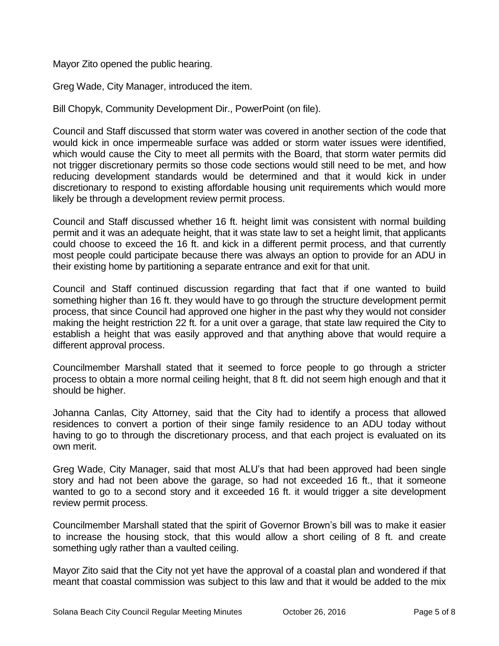Mayor Zito opened the public hearing.

Greg Wade, City Manager, introduced the item.

Bill Chopyk, Community Development Dir., PowerPoint (on file).

Council and Staff discussed that storm water was covered in another section of the code that would kick in once impermeable surface was added or storm water issues were identified, which would cause the City to meet all permits with the Board, that storm water permits did not trigger discretionary permits so those code sections would still need to be met, and how reducing development standards would be determined and that it would kick in under discretionary to respond to existing affordable housing unit requirements which would more likely be through a development review permit process.

Council and Staff discussed whether 16 ft. height limit was consistent with normal building permit and it was an adequate height, that it was state law to set a height limit, that applicants could choose to exceed the 16 ft. and kick in a different permit process, and that currently most people could participate because there was always an option to provide for an ADU in their existing home by partitioning a separate entrance and exit for that unit.

Council and Staff continued discussion regarding that fact that if one wanted to build something higher than 16 ft. they would have to go through the structure development permit process, that since Council had approved one higher in the past why they would not consider making the height restriction 22 ft. for a unit over a garage, that state law required the City to establish a height that was easily approved and that anything above that would require a different approval process.

Councilmember Marshall stated that it seemed to force people to go through a stricter process to obtain a more normal ceiling height, that 8 ft. did not seem high enough and that it should be higher.

Johanna Canlas, City Attorney, said that the City had to identify a process that allowed residences to convert a portion of their singe family residence to an ADU today without having to go to through the discretionary process, and that each project is evaluated on its own merit.

Greg Wade, City Manager, said that most ALU's that had been approved had been single story and had not been above the garage, so had not exceeded 16 ft., that it someone wanted to go to a second story and it exceeded 16 ft. it would trigger a site development review permit process.

Councilmember Marshall stated that the spirit of Governor Brown's bill was to make it easier to increase the housing stock, that this would allow a short ceiling of 8 ft. and create something ugly rather than a vaulted ceiling.

Mayor Zito said that the City not yet have the approval of a coastal plan and wondered if that meant that coastal commission was subject to this law and that it would be added to the mix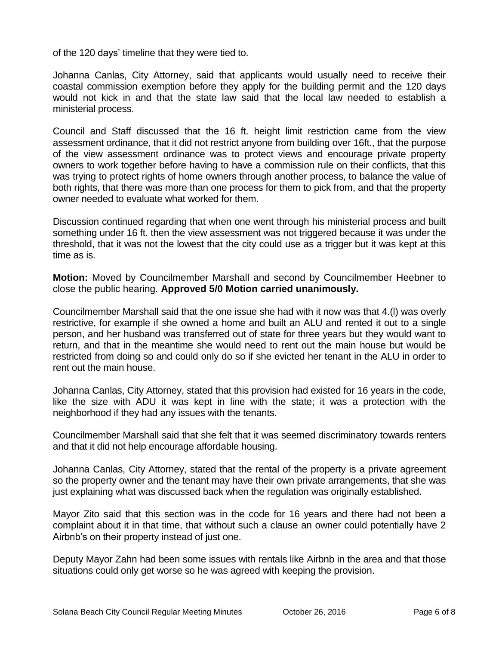of the 120 days' timeline that they were tied to.

Johanna Canlas, City Attorney, said that applicants would usually need to receive their coastal commission exemption before they apply for the building permit and the 120 days would not kick in and that the state law said that the local law needed to establish a ministerial process.

Council and Staff discussed that the 16 ft. height limit restriction came from the view assessment ordinance, that it did not restrict anyone from building over 16ft., that the purpose of the view assessment ordinance was to protect views and encourage private property owners to work together before having to have a commission rule on their conflicts, that this was trying to protect rights of home owners through another process, to balance the value of both rights, that there was more than one process for them to pick from, and that the property owner needed to evaluate what worked for them.

Discussion continued regarding that when one went through his ministerial process and built something under 16 ft. then the view assessment was not triggered because it was under the threshold, that it was not the lowest that the city could use as a trigger but it was kept at this time as is.

**Motion:** Moved by Councilmember Marshall and second by Councilmember Heebner to close the public hearing. **Approved 5/0 Motion carried unanimously.**

Councilmember Marshall said that the one issue she had with it now was that 4.(l) was overly restrictive, for example if she owned a home and built an ALU and rented it out to a single person, and her husband was transferred out of state for three years but they would want to return, and that in the meantime she would need to rent out the main house but would be restricted from doing so and could only do so if she evicted her tenant in the ALU in order to rent out the main house.

Johanna Canlas, City Attorney, stated that this provision had existed for 16 years in the code, like the size with ADU it was kept in line with the state; it was a protection with the neighborhood if they had any issues with the tenants.

Councilmember Marshall said that she felt that it was seemed discriminatory towards renters and that it did not help encourage affordable housing.

Johanna Canlas, City Attorney, stated that the rental of the property is a private agreement so the property owner and the tenant may have their own private arrangements, that she was just explaining what was discussed back when the regulation was originally established.

Mayor Zito said that this section was in the code for 16 years and there had not been a complaint about it in that time, that without such a clause an owner could potentially have 2 Airbnb's on their property instead of just one.

Deputy Mayor Zahn had been some issues with rentals like Airbnb in the area and that those situations could only get worse so he was agreed with keeping the provision.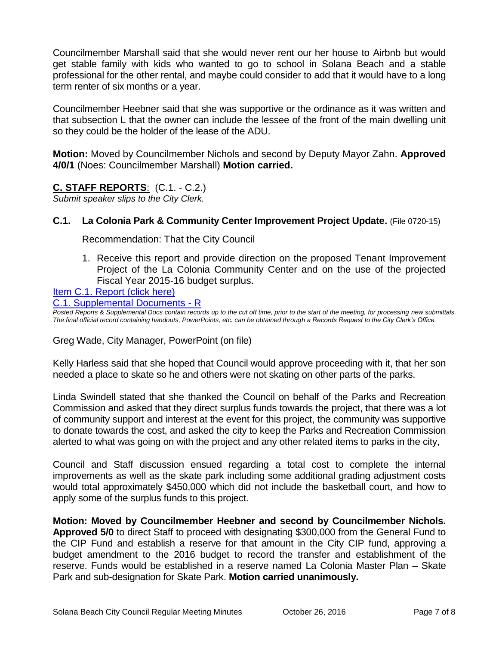Councilmember Marshall said that she would never rent our her house to Airbnb but would get stable family with kids who wanted to go to school in Solana Beach and a stable professional for the other rental, and maybe could consider to add that it would have to a long term renter of six months or a year.

Councilmember Heebner said that she was supportive or the ordinance as it was written and that subsection L that the owner can include the lessee of the front of the main dwelling unit so they could be the holder of the lease of the ADU.

**Motion:** Moved by Councilmember Nichols and second by Deputy Mayor Zahn. **Approved 4/0/1** (Noes: Councilmember Marshall) **Motion carried.**

# **C. STAFF REPORTS**: (C.1. - C.2.)

*Submit speaker slips to the City Clerk.*

# **C.1. La Colonia Park & Community Center Improvement Project Update.** (File 0720-15)

Recommendation: That the City Council

1. Receive this report and provide direction on the proposed Tenant Improvement Project of the La Colonia Community Center and on the use of the projected Fiscal Year 2015-16 budget surplus.

[Item C.1. Report \(click here\)](https://solanabeach.govoffice3.com/vertical/Sites/%7B840804C2-F869-4904-9AE3-720581350CE7%7D/uploads/Item_C.1._Report_(click_here)_-10-26-16.PDF)

[C.1. Supplemental Documents -](https://solanabeach.govoffice3.com/vertical/Sites/%7B840804C2-F869-4904-9AE3-720581350CE7%7D/uploads/C.1._Supplemental_Documents_-_R_10-26-16_.pdf) R

*Posted Reports & Supplemental Docs contain records up to the cut off time, prior to the start of the meeting, for processing new submittals. The final official record containing handouts, PowerPoints, etc. can be obtained through a Records Request to the City Clerk's Office.*

Greg Wade, City Manager, PowerPoint (on file)

Kelly Harless said that she hoped that Council would approve proceeding with it, that her son needed a place to skate so he and others were not skating on other parts of the parks.

Linda Swindell stated that she thanked the Council on behalf of the Parks and Recreation Commission and asked that they direct surplus funds towards the project, that there was a lot of community support and interest at the event for this project, the community was supportive to donate towards the cost, and asked the city to keep the Parks and Recreation Commission alerted to what was going on with the project and any other related items to parks in the city,

Council and Staff discussion ensued regarding a total cost to complete the internal improvements as well as the skate park including some additional grading adjustment costs would total approximately \$450,000 which did not include the basketball court, and how to apply some of the surplus funds to this project.

**Motion: Moved by Councilmember Heebner and second by Councilmember Nichols. Approved 5/0** to direct Staff to proceed with designating \$300,000 from the General Fund to the CIP Fund and establish a reserve for that amount in the City CIP fund, approving a budget amendment to the 2016 budget to record the transfer and establishment of the reserve. Funds would be established in a reserve named La Colonia Master Plan – Skate Park and sub-designation for Skate Park. **Motion carried unanimously.**